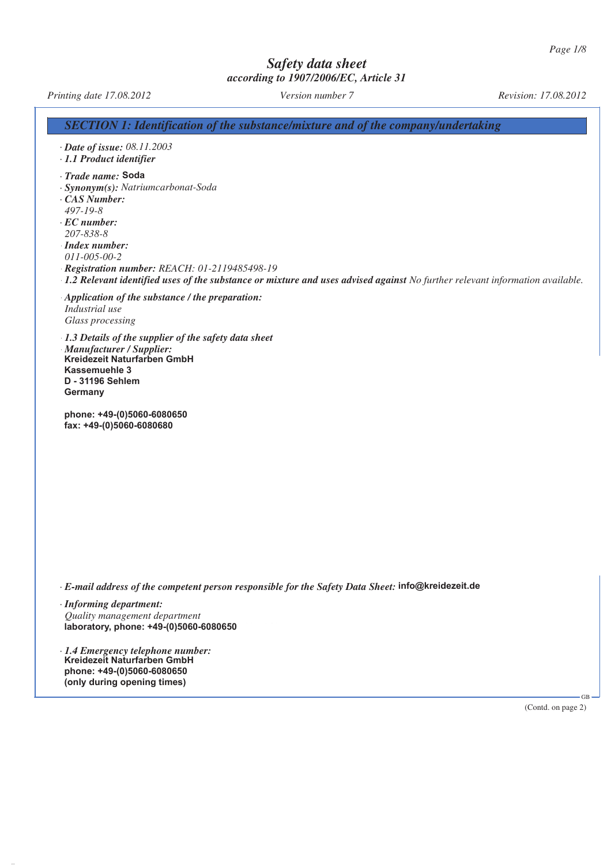*Printing date 17.08.2012 Version number 7 Revision: 17.08.2012*

*SECTION 1: Identification of the substance/mixture and of the company/undertaking*

*· Date of issue: 08.11.2003*

*· 1.1 Product identifier*

*<i>· Trade name:* **Soda** 

*· Synonym(s): Natriumcarbonat-Soda*

*· CAS Number: 497-19-8*

*· EC number: 207-838-8 · Index number: 011-005-00-2 · Registration number: REACH: 01-2119485498-19 · 1.2 Relevant identified uses of the substance or mixture and uses advised against No further relevant information available.*

*· Application of the substance / the preparation: Industrial use Glass processing*

*· 1.3 Details of the supplier of the safety data sheet · Manufacturer / Supplier: CG CHEMIKALIEN GmbH & Co. KG Tel.: +49 (0)511 87803-0* **Kreidezeit Naturfarben GmbH** *Ulmer Str. 1 Fax.: +49 (0)511 87803-66 30880 Laatzen* **D - 31196 Sehlem** *Germany* **Germany Kassemuehle 3**

*Reininghaus-Chemie GmbH & Co. KG Tel.: +49 (0)201 55780-0* **phone: +49-(0)5060-6080650** *Joachimstr. 122-124 Fax.: +49 (0)201 55780-50* **fax: +49-(0)5060-6080680**

*· E-mail address of the competent person responsible for the Safety Data Sheet:* info@kreidezeit.de

*· Informing department: Quality management department Mr. Dr. Koelmann Phone: +49 511 / 8 78 03 - 141* **laboratory, phone: +49-(0)5060-6080650**

*· 1.4 Emergency telephone number: Next toxicological information centre or for Germany:* **Kreidezeit Naturfarben GmbH** *Beratungsstelle für Vergiftungserscheinungen Mainz (Poison Information Center)* **phone: +49-(0)5060-6080650** *Phone: +49 6131 / 19 24 0* **(only during opening times)**

(Contd. on page 2)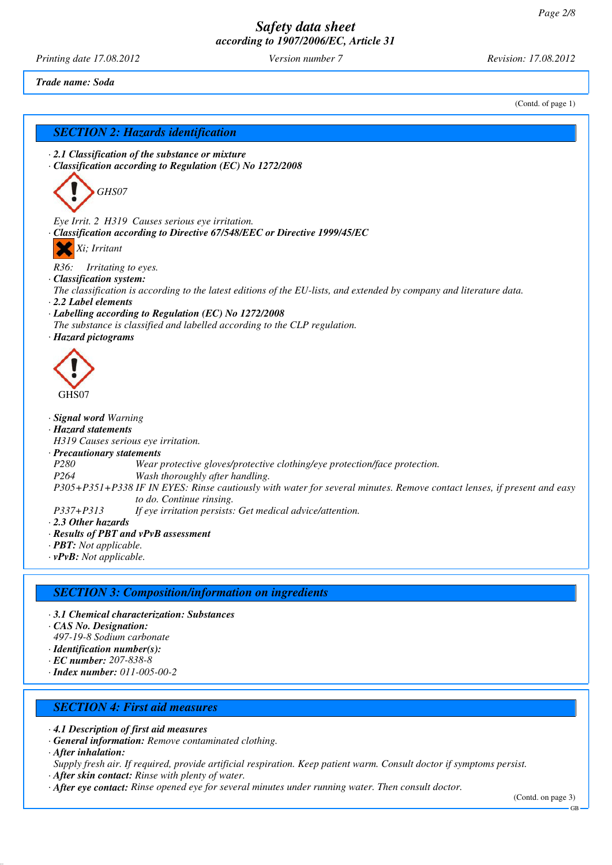*Printing date 17.08.2012 Version number 7 Revision: 17.08.2012*

*Trade name: Soda*

(Contd. of page 1)

# *SECTION 2: Hazards identification*

*· 2.1 Classification of the substance or mixture · Classification according to Regulation (EC) No 1272/2008*



*Eye Irrit. 2 H319 Causes serious eye irritation. · Classification according to Directive 67/548/EEC or Directive 1999/45/EC*

*Xi; Irritant*

*R36: Irritating to eyes.*

- *· Classification system:*
- *The classification is according to the latest editions of the EU-lists, and extended by company and literature data.*
- *· 2.2 Label elements*
- *· Labelling according to Regulation (EC) No 1272/2008*
- *The substance is classified and labelled according to the CLP regulation.*
- *· Hazard pictograms*



#### *· Signal word Warning*

- *· Hazard statements*
- *H319 Causes serious eye irritation.*

#### *· Precautionary statements*

- *P280 Wear protective gloves/protective clothing/eye protection/face protection.*
- *P264 Wash thoroughly after handling.*
- *P305+P351+P338 IF IN EYES: Rinse cautiously with water for several minutes. Remove contact lenses, if present and easy to do. Continue rinsing.*
- *P337+P313 If eye irritation persists: Get medical advice/attention.*
- *· 2.3 Other hazards*
- *· Results of PBT and vPvB assessment*
- *· PBT: Not applicable.*
- *· vPvB: Not applicable.*

### *SECTION 3: Composition/information on ingredients*

- *· 3.1 Chemical characterization: Substances*
- *· CAS No. Designation:*
- *497-19-8 Sodium carbonate*
- *· Identification number(s):*
- *· EC number: 207-838-8*
- *· Index number: 011-005-00-2*

## *SECTION 4: First aid measures*

- *· 4.1 Description of first aid measures*
- *· General information: Remove contaminated clothing.*
- *· After inhalation:*
- *Supply fresh air. If required, provide artificial respiration. Keep patient warm. Consult doctor if symptoms persist. · After skin contact: Rinse with plenty of water.*
- *· After eye contact: Rinse opened eye for several minutes under running water. Then consult doctor.*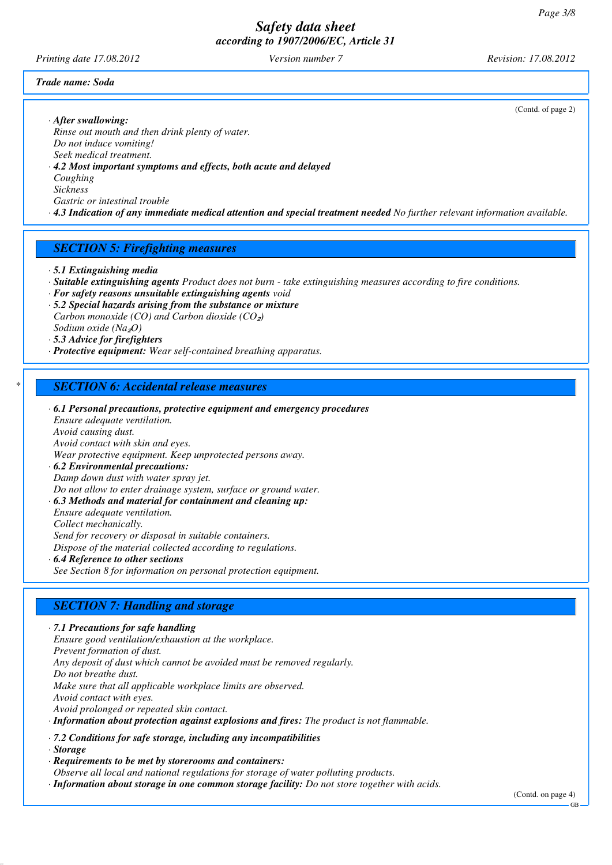*Printing date 17.08.2012 Version number 7 Revision: 17.08.2012*

(Contd. of page 2)

#### *Trade name: Soda*

*· After swallowing:*

*Rinse out mouth and then drink plenty of water. Do not induce vomiting! Seek medical treatment.*

*· 4.2 Most important symptoms and effects, both acute and delayed Coughing*

*Sickness*

*Gastric or intestinal trouble*

*· 4.3 Indication of any immediate medical attention and special treatment needed No further relevant information available.*

### *SECTION 5: Firefighting measures*

*· 5.1 Extinguishing media*

- *· Suitable extinguishing agents Product does not burn take extinguishing measures according to fire conditions.*
- *· For safety reasons unsuitable extinguishing agents void*
- *· 5.2 Special hazards arising from the substance or mixture Carbon monoxide (CO) and Carbon dioxide (CO<sub>2</sub>) Sodium oxide (Na*₂*O)*

*· 5.3 Advice for firefighters*

*· Protective equipment: Wear self-contained breathing apparatus.*

### *\* SECTION 6: Accidental release measures*

*· 6.1 Personal precautions, protective equipment and emergency procedures Ensure adequate ventilation. Avoid causing dust. Avoid contact with skin and eyes. Wear protective equipment. Keep unprotected persons away. · 6.2 Environmental precautions: Damp down dust with water spray jet. Do not allow to enter drainage system, surface or ground water. · 6.3 Methods and material for containment and cleaning up: Ensure adequate ventilation. Collect mechanically. Send for recovery or disposal in suitable containers. Dispose of the material collected according to regulations. · 6.4 Reference to other sections*

*See Section 8 for information on personal protection equipment.*

### *SECTION 7: Handling and storage*

*· 7.1 Precautions for safe handling Ensure good ventilation/exhaustion at the workplace. Prevent formation of dust. Any deposit of dust which cannot be avoided must be removed regularly. Do not breathe dust. Make sure that all applicable workplace limits are observed. Avoid contact with eyes. Avoid prolonged or repeated skin contact. · Information about protection against explosions and fires: The product is not flammable.*

*· 7.2 Conditions for safe storage, including any incompatibilities*

*· Storage*

*· Requirements to be met by storerooms and containers:*

*Observe all local and national regulations for storage of water polluting products.*

*· Information about storage in one common storage facility: Do not store together with acids.*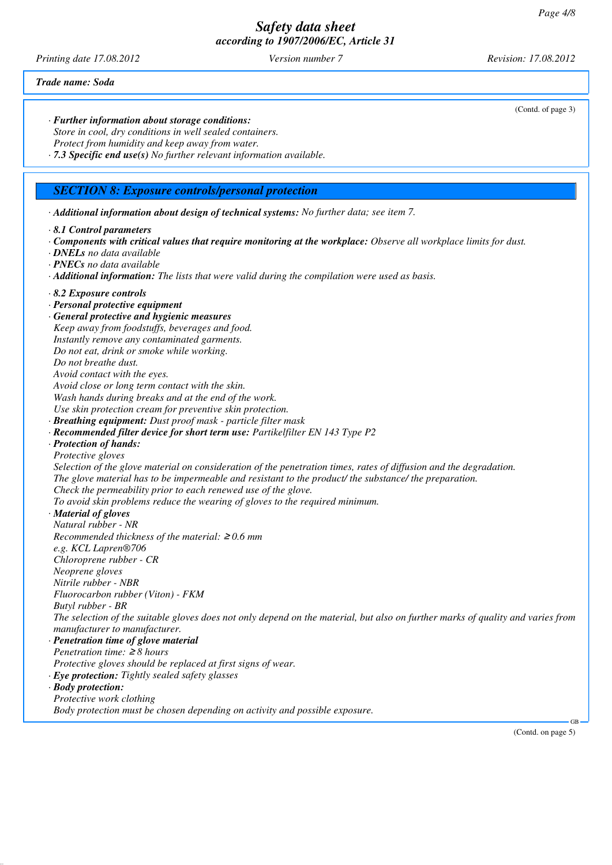*Printing date 17.08.2012 Version number 7 Revision: 17.08.2012*

*· Further information about storage conditions:*

(Contd. of page 3)

*Trade name: Soda*

*Store in cool, dry conditions in well sealed containers. Protect from humidity and keep away from water. · 7.3 Specific end use(s) No further relevant information available. SECTION 8: Exposure controls/personal protection · Additional information about design of technical systems: No further data; see item 7. · 8.1 Control parameters · Components with critical values that require monitoring at the workplace: Observe all workplace limits for dust. · DNELs no data available · PNECs no data available · Additional information: The lists that were valid during the compilation were used as basis. · 8.2 Exposure controls · Personal protective equipment · General protective and hygienic measures Keep away from foodstuffs, beverages and food. Instantly remove any contaminated garments. Do not eat, drink or smoke while working. Do not breathe dust. Avoid contact with the eyes. Avoid close or long term contact with the skin. Wash hands during breaks and at the end of the work. Use skin protection cream for preventive skin protection. · Breathing equipment: Dust proof mask - particle filter mask · Recommended filter device for short term use: Partikelfilter EN 143 Type P2 · Protection of hands: Protective gloves Selection of the glove material on consideration of the penetration times, rates of diffusion and the degradation. The glove material has to be impermeable and resistant to the product/ the substance/ the preparation. Check the permeability prior to each renewed use of the glove. To avoid skin problems reduce the wearing of gloves to the required minimum. · Material of gloves Natural rubber - NR Recommended thickness of the material:* ≥ *0.6 mm e.g. KCL Lapren®706 Chloroprene rubber - CR Neoprene gloves Nitrile rubber - NBR Fluorocarbon rubber (Viton) - FKM Butyl rubber - BR The selection of the suitable gloves does not only depend on the material, but also on further marks of quality and varies from manufacturer to manufacturer. · Penetration time of glove material Penetration time:* ≥ *8 hours Protective gloves should be replaced at first signs of wear. · Eye protection: Tightly sealed safety glasses · Body protection: Protective work clothing Body protection must be chosen depending on activity and possible exposure.*

(Contd. on page 5)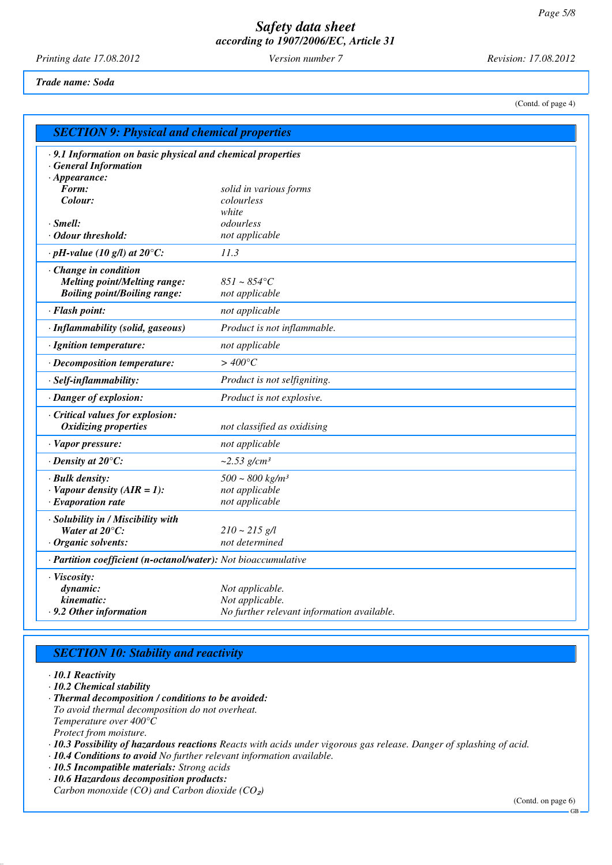*Printing date 17.08.2012 Version number 7 Revision: 17.08.2012*

#### *Trade name: Soda*

(Contd. of page 4)

| <b>SECTION 9: Physical and chemical properties</b>                                                                                   |                                                                                  |  |
|--------------------------------------------------------------------------------------------------------------------------------------|----------------------------------------------------------------------------------|--|
| · 9.1 Information on basic physical and chemical properties<br><b>General Information</b><br>$\cdot$ Appearance:<br>Form:<br>Colour: | solid in various forms<br>colourless<br>white                                    |  |
| $\cdot$ Smell:                                                                                                                       | odourless                                                                        |  |
| · Odour threshold:                                                                                                                   | not applicable                                                                   |  |
| $\cdot$ pH-value (10 g/l) at 20 $\degree$ C:                                                                                         | 11.3                                                                             |  |
| $\cdot$ Change in condition<br><b>Melting point/Melting range:</b><br><b>Boiling point/Boiling range:</b>                            | $851 \sim 854$ °C<br>not applicable                                              |  |
| · Flash point:                                                                                                                       | not applicable                                                                   |  |
| · Inflammability (solid, gaseous)                                                                                                    | Product is not inflammable.                                                      |  |
| · Ignition temperature:                                                                                                              | not applicable                                                                   |  |
| · Decomposition temperature:                                                                                                         | $>$ 400 $^{\circ}$ C                                                             |  |
| · Self-inflammability:                                                                                                               | <i>Product is not selfigniting.</i>                                              |  |
| · Danger of explosion:                                                                                                               | Product is not explosive.                                                        |  |
| Critical values for explosion:<br><b>Oxidizing properties</b>                                                                        | not classified as oxidising                                                      |  |
| · Vapor pressure:                                                                                                                    | not applicable                                                                   |  |
| $\cdot$ Density at 20 $\degree$ C:                                                                                                   | $\sim 2.53$ g/cm <sup>3</sup>                                                    |  |
| · Bulk density:<br>$\cdot$ Vapour density (AIR = 1):<br>$\cdot$ Evaporation rate                                                     | $500 \sim 800 \text{ kg/m}^3$<br>not applicable<br>not applicable                |  |
| · Solubility in / Miscibility with<br>Water at $20^{\circ}$ C:<br>Organic solvents:                                                  | $210 \sim 215$ g/l<br>not determined                                             |  |
| · Partition coefficient (n-octanol/water): Not bioaccumulative                                                                       |                                                                                  |  |
| · Viscosity:<br>dynamic:<br>kinematic:<br>.9.2 Other information                                                                     | Not applicable.<br>Not applicable.<br>No further relevant information available. |  |

## *SECTION 10: Stability and reactivity*

*· 10.1 Reactivity*

*· 10.2 Chemical stability*

- *· Thermal decomposition / conditions to be avoided: To avoid thermal decomposition do not overheat. Temperature over 400°C Protect from moisture.*
- *· 10.3 Possibility of hazardous reactions Reacts with acids under vigorous gas release. Danger of splashing of acid.*
- *· 10.4 Conditions to avoid No further relevant information available.*
- *· 10.5 Incompatible materials: Strong acids*
- *· 10.6 Hazardous decomposition products:*
- *Carbon monoxide* (*CO* $)$  and *Carbon dioxide* (*CO*<sub>2</sub>)

(Contd. on page 6)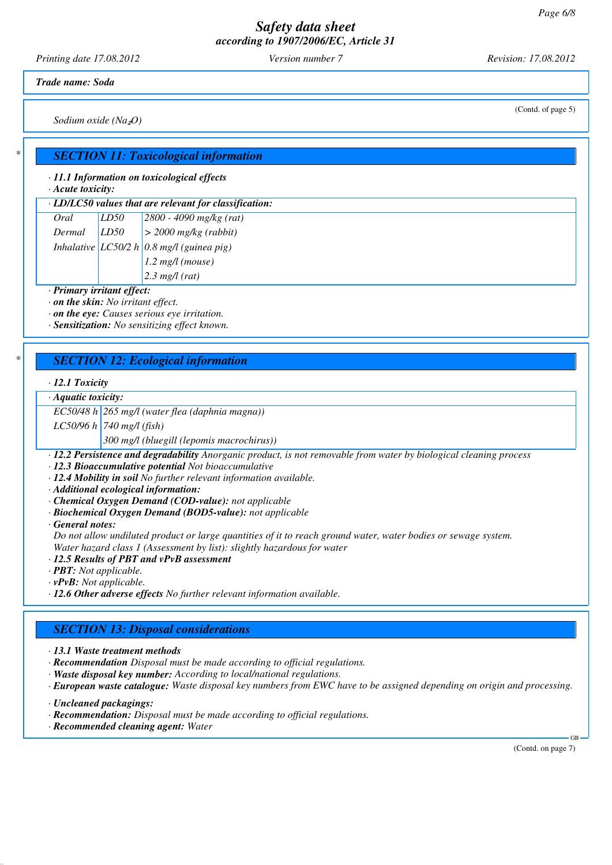*Printing date 17.08.2012 Version number 7 Revision: 17.08.2012*

*Trade name: Soda*

*Sodium oxide (Na*₂*O)*

### *\* SECTION 11: Toxicological information*

*· 11.1 Information on toxicological effects*

*· Acute toxicity:*

*· LD/LC50 values that are relevant for classification:*

| Oral   | LD50 | $2800 - 4090$ mg/kg (rat)                    |
|--------|------|----------------------------------------------|
| Dermal | LD50 | $\geq$ 2000 mg/kg (rabbit)                   |
|        |      | Inhalative $ LC50/2 h 0.8$ mg/l (guinea pig) |
|        |      |                                              |

*1.2 mg/l (mouse)*

*2.3 mg/l (rat)*

*· Primary irritant effect:*

*· on the skin: No irritant effect.*

*· on the eye: Causes serious eye irritation.*

*· Sensitization: No sensitizing effect known.*

### *\* SECTION 12: Ecological information*

### *· 12.1 Toxicity*

*· Aquatic toxicity:*

*EC50/48 h 265 mg/l (water flea (daphnia magna))*

*LC50/96 h 740 mg/l (fish)*

*300 mg/l (bluegill (lepomis macrochirus))*

*· 12.2 Persistence and degradability Anorganic product, is not removable from water by biological cleaning process*

*· 12.3 Bioaccumulative potential Not bioaccumulative*

*· 12.4 Mobility in soil No further relevant information available.*

*· Additional ecological information:*

*· Chemical Oxygen Demand (COD-value): not applicable*

*· Biochemical Oxygen Demand (BOD5-value): not applicable*

*· General notes:*

*Do not allow undiluted product or large quantities of it to reach ground water, water bodies or sewage system. Water hazard class 1 (Assessment by list): slightly hazardous for water*

*· 12.5 Results of PBT and vPvB assessment*

*· PBT: Not applicable.*

*· vPvB: Not applicable.*

*· 12.6 Other adverse effects No further relevant information available.*

### *SECTION 13: Disposal considerations*

*· 13.1 Waste treatment methods*

*· Recommendation Disposal must be made according to official regulations.*

*· Waste disposal key number: According to local/national regulations.*

*· European waste catalogue: Waste disposal key numbers from EWC have to be assigned depending on origin and processing.*

*· Uncleaned packagings:*

*· Recommendation: Disposal must be made according to official regulations.*

*· Recommended cleaning agent: Water*

(Contd. on page 7)

GB

(Contd. of page 5)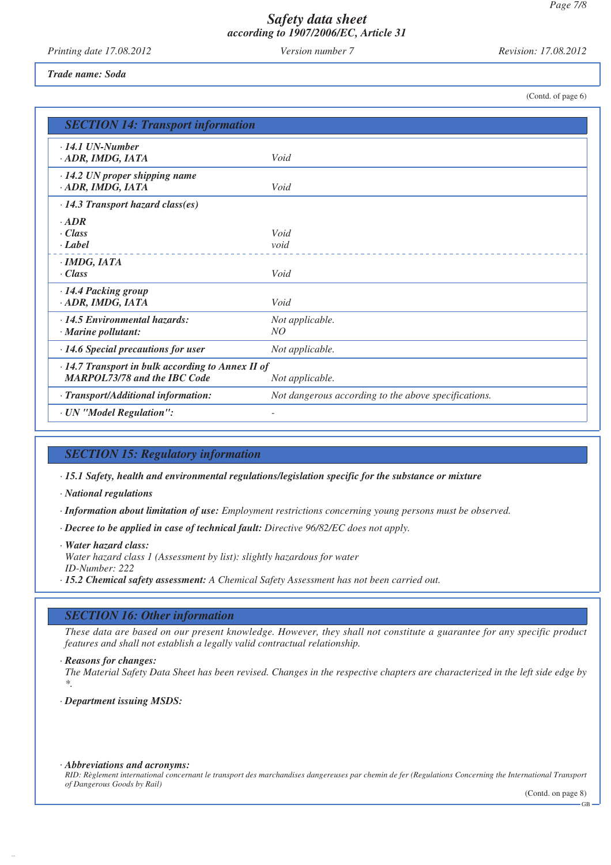*Printing date 17.08.2012 Version number 7 Revision: 17.08.2012*

(Contd. of page 6)

#### *Trade name: Soda*

| <b>SECTION 14: Transport information</b>                                                                    |                                                      |  |
|-------------------------------------------------------------------------------------------------------------|------------------------------------------------------|--|
| $\cdot$ 14.1 UN-Number<br>· ADR, IMDG, IATA                                                                 | Void                                                 |  |
| $\cdot$ 14.2 UN proper shipping name<br>· ADR, IMDG, IATA                                                   | Void                                                 |  |
| $\cdot$ 14.3 Transport hazard class(es)                                                                     |                                                      |  |
| $\cdot$ ADR<br>$\cdot$ Class<br>$\cdot$ Label                                                               | Void<br>void                                         |  |
| $\cdot$ IMDG, IATA<br>$\cdot Class$                                                                         | Void                                                 |  |
| · 14.4 Packing group<br>· ADR, IMDG, IATA                                                                   | Void                                                 |  |
| $\cdot$ 14.5 Environmental hazards:<br>· Marine pollutant:                                                  | Not applicable.<br>NO                                |  |
| $\cdot$ 14.6 Special precautions for user                                                                   | Not applicable.                                      |  |
| · 14.7 Transport in bulk according to Annex II of<br><b>MARPOL73/78 and the IBC Code</b><br>Not applicable. |                                                      |  |
| · Transport/Additional information:                                                                         | Not dangerous according to the above specifications. |  |
| · UN "Model Regulation":                                                                                    |                                                      |  |

### *SECTION 15: Regulatory information*

*· 15.1 Safety, health and environmental regulations/legislation specific for the substance or mixture*

*· National regulations*

*· Information about limitation of use: Employment restrictions concerning young persons must be observed.*

*· Decree to be applied in case of technical fault: Directive 96/82/EC does not apply.*

*· Water hazard class: Water hazard class 1 (Assessment by list): slightly hazardous for water ID-Number: 222*

*· 15.2 Chemical safety assessment: A Chemical Safety Assessment has not been carried out.*

### *SECTION 16: Other information*

*These data are based on our present knowledge. However, they shall not constitute a guarantee for any specific product features and shall not establish a legally valid contractual relationship.*

*· Reasons for changes:*

*The Material Safety Data Sheet has been revised. Changes in the respective chapters are characterized in the left side edge by \*.*

*· Department issuing MSDS:*

#### *· Abbreviations and acronyms:*

*RID: Règlement international concernant le transport des marchandises dangereuses par chemin de fer (Regulations Concerning the International Transport of Dangerous Goods by Rail)*